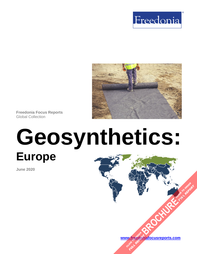



**Freedonia Focus Reports** Global Collection

# **Geosynthetics: Europe**

**June 2020**

**[www.freedoniafocusreports.com](https://www.freedoniafocusreports.com/redirect.asp?progid=89534&url=/) [BROCHURE](https://www.freedoniafocusreports.com/Geosynthetics-Europe-FE15021/?progid=89541) REPORT** W.freegori

**FULL REPORT**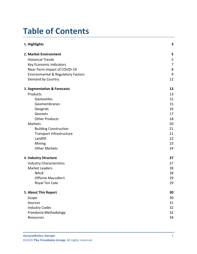# **Table of Contents**

| 1. Highlights                                 | 3  |
|-----------------------------------------------|----|
| 2. Market Environment                         | 5  |
| <b>Historical Trends</b>                      | 5  |
| Key Economic Indicators                       | 7  |
| Near-Term Impact of COVID-19                  | 8  |
| <b>Environmental &amp; Regulatory Factors</b> | 9  |
| Demand by Country                             | 12 |
| 3. Segmentation & Forecasts                   | 13 |
| Products                                      | 13 |
| Geotextiles                                   | 15 |
| Geomembranes                                  | 15 |
| Geogrids                                      | 16 |
| Geonets                                       | 17 |
| <b>Other Products</b>                         | 18 |
| Markets                                       | 20 |
| <b>Building Construction</b>                  | 21 |
| Transport Infrastructure                      | 21 |
| Landfill                                      | 22 |
| Mining                                        | 23 |
| <b>Other Markets</b>                          | 24 |
| 4. Industry Structure                         | 27 |
| <b>Industry Characteristics</b>               | 27 |
| <b>Market Leaders</b>                         | 28 |
| <b>NAUE</b>                                   | 28 |
| Officine Maccaferri                           | 29 |
| Royal Ten Cate                                | 29 |
| 5. About This Report                          | 30 |
| Scope                                         | 30 |
| Sources                                       | 31 |
| <b>Industry Codes</b>                         | 32 |
| Freedonia Methodology                         | 32 |
| Resources                                     | 34 |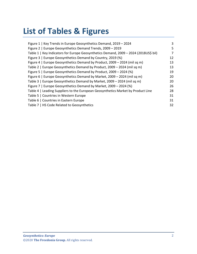# **List of Tables & Figures**

| Figure 1   Key Trends in Europe Geosynthetics Demand, 2019 - 2024                    | 3  |
|--------------------------------------------------------------------------------------|----|
| Figure 2   Europe Geosynthetics Demand Trends, 2009 - 2019                           | 5  |
| Table 1   Key Indicators for Europe Geosynthetics Demand, 2009 - 2024 (2018US\$ bil) | 7  |
| Figure 3   Europe Geosynthetics Demand by Country, 2019 (%)                          | 12 |
| Figure 4   Europe Geosynthetics Demand by Product, 2009 - 2024 (mil sq m)            | 13 |
| Table 2   Europe Geosynthetics Demand by Product, 2009 - 2024 (mil sq m)             | 13 |
| Figure 5   Europe Geosynthetics Demand by Product, 2009 - 2024 (%)                   | 19 |
| Figure 6   Europe Geosynthetics Demand by Market, 2009 - 2024 (mil sq m)             | 20 |
| Table 3   Europe Geosynthetics Demand by Market, 2009 - 2024 (mil sq m)              | 20 |
| Figure 7   Europe Geosynthetics Demand by Market, 2009 - 2024 (%)                    | 26 |
| Table 4   Leading Suppliers to the European Geosynthetics Market by Product Line     | 28 |
| Table 5   Countries in Western Europe                                                | 31 |
| Table 6   Countries in Eastern Europe                                                | 31 |
| Table 7   HS Code Related to Geosynthetics                                           | 32 |
|                                                                                      |    |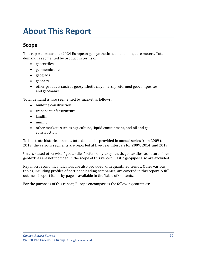# <span id="page-3-0"></span>**About This Report**

# <span id="page-3-1"></span>**Scope**

This report forecasts to 2024 European geosynthetics demand in square meters. Total demand is segmented by product in terms of:

- geotextiles
- geomembranes
- geogrids
- geonets
- other products such as geosynthetic clay liners, preformed geocomposites, and geofoams

Total demand is also segmented by market as follows:

- building construction
- transport infrastructure
- landfill
- mining
- other markets such as agriculture, liquid containment, and oil and gas construction

To illustrate historical trends, total demand is provided in annual series from 2009 to 2019; the various segments are reported at five-year intervals for 2009, 2014, and 2019.

Unless stated otherwise, "geotextiles" refers only to synthetic geotextiles, as natural fiber geotextiles are not included in the scope of this report. Plastic geopipes also are excluded.

Key macroeconomic indicators are also provided with quantified trends. Other various topics, including profiles of pertinent leading companies, are covered in this report. A full outline of report items by page is available in the Table of Contents.

For the purposes of this report, Europe encompasses the following countries: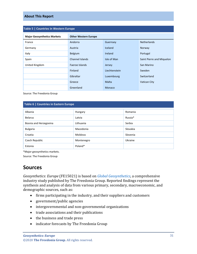#### **About This Report**

<span id="page-4-1"></span>

| Table 5   Countries in Western Europe |                             |                |                           |  |
|---------------------------------------|-----------------------------|----------------|---------------------------|--|
| <b>Major Geosynthetics Markets</b>    | <b>Other Western Europe</b> |                |                           |  |
| France                                | Andorra                     | Guernsey       | <b>Netherlands</b>        |  |
| Germany                               | Austria                     | Iceland        | Norway                    |  |
| Italy                                 | Belgium                     | <b>Ireland</b> | Portugal                  |  |
| Spain                                 | Channel Islands             | Isle of Man    | Saint Pierre and Miquelon |  |
| United Kingdom                        | Faeroe Islands              | Jersey         | San Marino                |  |
|                                       | Finland                     | Liechtenstein  | Sweden                    |  |
|                                       | Gibraltar                   | Luxembourg     | Switzerland               |  |
|                                       | Greece                      | Malta          | Vatican City              |  |
|                                       | Greenland                   | Monaco         |                           |  |

Source: The Freedonia Group

#### <span id="page-4-2"></span>**Table 6 | Countries in Eastern Europe**

| Albania                | Hungary    | Romania  |
|------------------------|------------|----------|
| <b>Belarus</b>         | Latvia     | Russia*  |
| Bosnia and Herzegovina | Lithuania  | Serbia   |
| <b>Bulgaria</b>        | Macedonia  | Slovakia |
| Croatia                | Moldova    | Slovenia |
| Czech Republic         | Montenegro | Ukraine  |
| Estonia                | Poland*    |          |

\*Major geosynthetics markets.

Source: The Freedonia Group

# <span id="page-4-0"></span>**Sources**

*Geosynthetics: Europe* (FE15021) is based on *[Global Geosynthetics,](http://www.freedoniagroup.com/DocumentDetails.aspx?ReferrerId=FL-FOCUS&studyid=3834)* a comprehensive industry study published by The Freedonia Group. Reported findings represent the synthesis and analysis of data from various primary, secondary, macroeconomic, and demographic sources, such as:

- firms participating in the industry, and their suppliers and customers
- government/public agencies
- intergovernmental and non-governmental organizations
- trade associations and their publications
- the business and trade press
- indicator forecasts by The Freedonia Group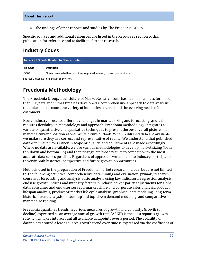• the findings of other reports and studies by The Freedonia Group

Specific sources and additional resources are listed in the Resources section of this publication for reference and to facilitate further research.

# <span id="page-5-0"></span>**Industry Codes**

<span id="page-5-2"></span>

| Table 7   HS Code Related to Geosynthetics |                                                                      |  |  |  |
|--------------------------------------------|----------------------------------------------------------------------|--|--|--|
| <b>HS Code</b>                             | <b>Definition</b>                                                    |  |  |  |
| 5603                                       | Nonwovens, whether or not impregnated, coated, covered, or laminated |  |  |  |

Source: United Nations Statistics Division.

# <span id="page-5-1"></span>**Freedonia Methodology**

The Freedonia Group, a subsidiary of MarketResearch.com, has been in business for more than 30 years and in that time has developed a comprehensive approach to data analysis that takes into account the variety of industries covered and the evolving needs of our customers.

Every industry presents different challenges in market sizing and forecasting, and this requires flexibility in methodology and approach. Freedonia methodology integrates a variety of quantitative and qualitative techniques to present the best overall picture of a market's current position as well as its future outlook: When published data are available, we make sure they are correct and representative of reality. We understand that published data often have flaws either in scope or quality, and adjustments are made accordingly. Where no data are available, we use various methodologies to develop market sizing (both top-down and bottom-up) and then triangulate those results to come up with the most accurate data series possible. Regardless of approach, we also talk to industry participants to verify both historical perspective and future growth opportunities.

Methods used in the preparation of Freedonia market research include, but are not limited to, the following activities: comprehensive data mining and evaluation, primary research, consensus forecasting and analysis, ratio analysis using key indicators, regression analysis, end use growth indices and intensity factors, purchase power parity adjustments for global data, consumer and end user surveys, market share and corporate sales analysis, product lifespan analysis, product or market life cycle analysis, graphical data modeling, long-term historical trend analysis, bottom-up and top-down demand modeling, and comparative market size ranking.

Freedonia quantifies trends in various measures of growth and volatility. Growth (or decline) expressed as an average annual growth rate (AAGR) is the least squares growth rate, which takes into account all available datapoints over a period. The volatility of datapoints around a least squares growth trend over time is expressed via the coefficient of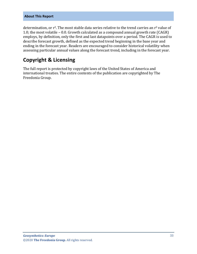#### **About This Report**

determination, or  $r^2$ . The most stable data series relative to the trend carries an  $r^2$  value of 1.0; the most volatile – 0.0. Growth calculated as a compound annual growth rate (CAGR) employs, by definition, only the first and last datapoints over a period. The CAGR is used to describe forecast growth, defined as the expected trend beginning in the base year and ending in the forecast year. Readers are encouraged to consider historical volatility when assessing particular annual values along the forecast trend, including in the forecast year.

# **Copyright & Licensing**

The full report is protected by copyright laws of the United States of America and international treaties. The entire contents of the publication are copyrighted by The Freedonia Group.